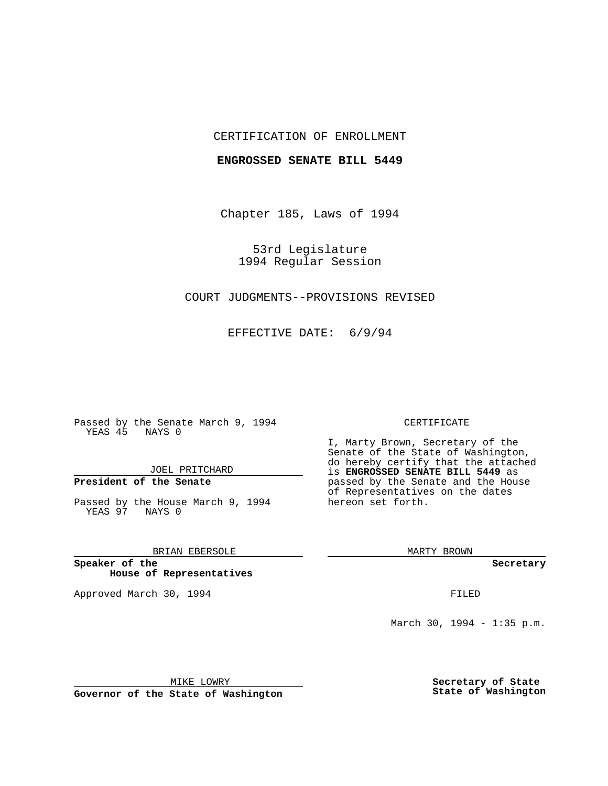## CERTIFICATION OF ENROLLMENT

### **ENGROSSED SENATE BILL 5449**

Chapter 185, Laws of 1994

53rd Legislature 1994 Regular Session

## COURT JUDGMENTS--PROVISIONS REVISED

EFFECTIVE DATE: 6/9/94

Passed by the Senate March 9, 1994 YEAS 45 NAYS 0

JOEL PRITCHARD

# **President of the Senate**

Passed by the House March 9, 1994 YEAS 97 NAYS 0

## BRIAN EBERSOLE

**Speaker of the House of Representatives**

Approved March 30, 1994 **FILED** 

#### CERTIFICATE

I, Marty Brown, Secretary of the Senate of the State of Washington, do hereby certify that the attached is **ENGROSSED SENATE BILL 5449** as passed by the Senate and the House of Representatives on the dates hereon set forth.

MARTY BROWN

**Secretary**

March 30, 1994 - 1:35 p.m.

MIKE LOWRY **Governor of the State of Washington** **Secretary of State State of Washington**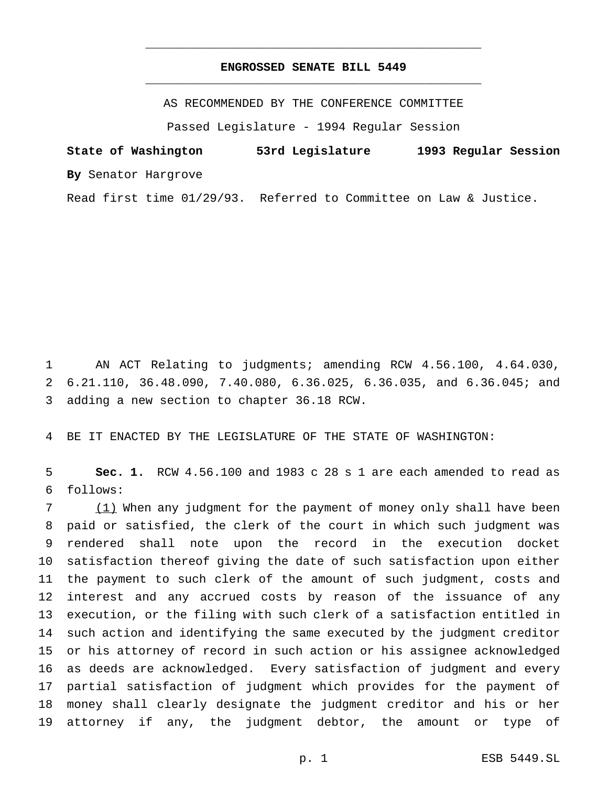## **ENGROSSED SENATE BILL 5449** \_\_\_\_\_\_\_\_\_\_\_\_\_\_\_\_\_\_\_\_\_\_\_\_\_\_\_\_\_\_\_\_\_\_\_\_\_\_\_\_\_\_\_\_\_\_\_

\_\_\_\_\_\_\_\_\_\_\_\_\_\_\_\_\_\_\_\_\_\_\_\_\_\_\_\_\_\_\_\_\_\_\_\_\_\_\_\_\_\_\_\_\_\_\_

AS RECOMMENDED BY THE CONFERENCE COMMITTEE

Passed Legislature - 1994 Regular Session

**State of Washington 53rd Legislature 1993 Regular Session By** Senator Hargrove

Read first time 01/29/93. Referred to Committee on Law & Justice.

 AN ACT Relating to judgments; amending RCW 4.56.100, 4.64.030, 6.21.110, 36.48.090, 7.40.080, 6.36.025, 6.36.035, and 6.36.045; and adding a new section to chapter 36.18 RCW.

BE IT ENACTED BY THE LEGISLATURE OF THE STATE OF WASHINGTON:

 **Sec. 1.** RCW 4.56.100 and 1983 c 28 s 1 are each amended to read as follows:

 (1) When any judgment for the payment of money only shall have been paid or satisfied, the clerk of the court in which such judgment was rendered shall note upon the record in the execution docket satisfaction thereof giving the date of such satisfaction upon either the payment to such clerk of the amount of such judgment, costs and interest and any accrued costs by reason of the issuance of any execution, or the filing with such clerk of a satisfaction entitled in such action and identifying the same executed by the judgment creditor or his attorney of record in such action or his assignee acknowledged as deeds are acknowledged. Every satisfaction of judgment and every partial satisfaction of judgment which provides for the payment of money shall clearly designate the judgment creditor and his or her attorney if any, the judgment debtor, the amount or type of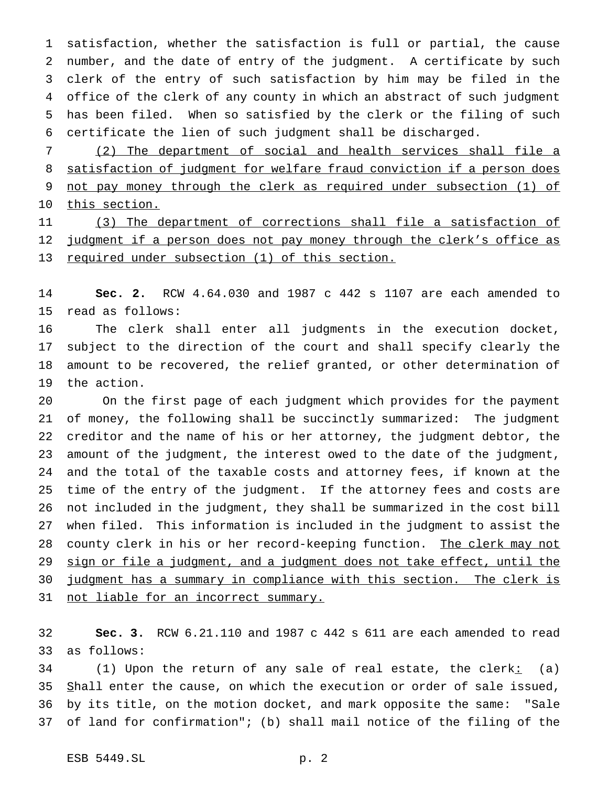satisfaction, whether the satisfaction is full or partial, the cause number, and the date of entry of the judgment. A certificate by such clerk of the entry of such satisfaction by him may be filed in the office of the clerk of any county in which an abstract of such judgment has been filed. When so satisfied by the clerk or the filing of such certificate the lien of such judgment shall be discharged.

 (2) The department of social and health services shall file a 8 satisfaction of judgment for welfare fraud conviction if a person does not pay money through the clerk as required under subsection (1) of 10 this section.

 (3) The department of corrections shall file a satisfaction of 12 judgment if a person does not pay money through the clerk's office as 13 required under subsection (1) of this section.

 **Sec. 2.** RCW 4.64.030 and 1987 c 442 s 1107 are each amended to read as follows:

 The clerk shall enter all judgments in the execution docket, subject to the direction of the court and shall specify clearly the amount to be recovered, the relief granted, or other determination of the action.

 On the first page of each judgment which provides for the payment of money, the following shall be succinctly summarized: The judgment creditor and the name of his or her attorney, the judgment debtor, the amount of the judgment, the interest owed to the date of the judgment, and the total of the taxable costs and attorney fees, if known at the time of the entry of the judgment. If the attorney fees and costs are not included in the judgment, they shall be summarized in the cost bill when filed. This information is included in the judgment to assist the 28 county clerk in his or her record-keeping function. The clerk may not 29 sign or file a judgment, and a judgment does not take effect, until the 30 judgment has a summary in compliance with this section. The clerk is 31 not liable for an incorrect summary.

 **Sec. 3.** RCW 6.21.110 and 1987 c 442 s 611 are each amended to read as follows:

34 (1) Upon the return of any sale of real estate, the clerk: (a) 35 Shall enter the cause, on which the execution or order of sale issued, by its title, on the motion docket, and mark opposite the same: "Sale of land for confirmation"; (b) shall mail notice of the filing of the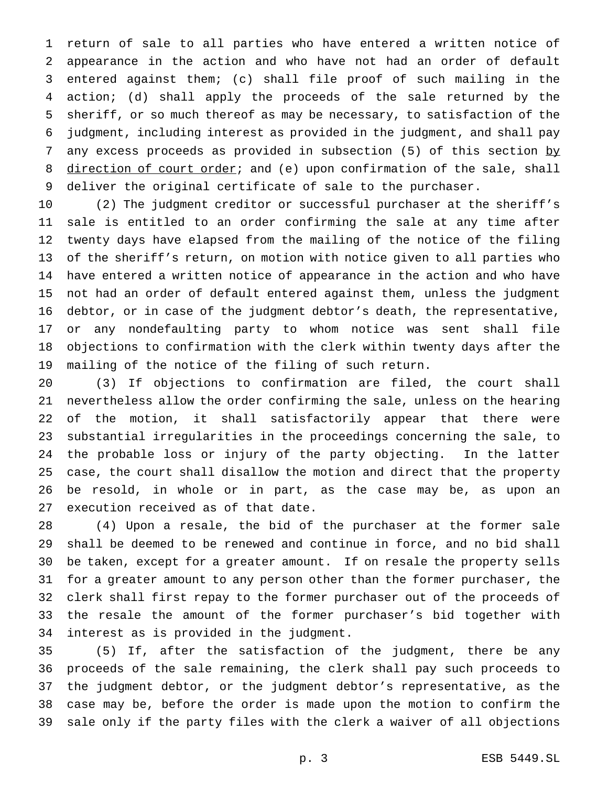return of sale to all parties who have entered a written notice of appearance in the action and who have not had an order of default entered against them; (c) shall file proof of such mailing in the action; (d) shall apply the proceeds of the sale returned by the sheriff, or so much thereof as may be necessary, to satisfaction of the judgment, including interest as provided in the judgment, and shall pay 7 any excess proceeds as provided in subsection (5) of this section by 8 direction of court order; and (e) upon confirmation of the sale, shall deliver the original certificate of sale to the purchaser.

 (2) The judgment creditor or successful purchaser at the sheriff's sale is entitled to an order confirming the sale at any time after twenty days have elapsed from the mailing of the notice of the filing of the sheriff's return, on motion with notice given to all parties who have entered a written notice of appearance in the action and who have not had an order of default entered against them, unless the judgment debtor, or in case of the judgment debtor's death, the representative, or any nondefaulting party to whom notice was sent shall file objections to confirmation with the clerk within twenty days after the mailing of the notice of the filing of such return.

 (3) If objections to confirmation are filed, the court shall nevertheless allow the order confirming the sale, unless on the hearing of the motion, it shall satisfactorily appear that there were substantial irregularities in the proceedings concerning the sale, to the probable loss or injury of the party objecting. In the latter case, the court shall disallow the motion and direct that the property be resold, in whole or in part, as the case may be, as upon an execution received as of that date.

 (4) Upon a resale, the bid of the purchaser at the former sale shall be deemed to be renewed and continue in force, and no bid shall be taken, except for a greater amount. If on resale the property sells for a greater amount to any person other than the former purchaser, the clerk shall first repay to the former purchaser out of the proceeds of the resale the amount of the former purchaser's bid together with interest as is provided in the judgment.

 (5) If, after the satisfaction of the judgment, there be any proceeds of the sale remaining, the clerk shall pay such proceeds to the judgment debtor, or the judgment debtor's representative, as the case may be, before the order is made upon the motion to confirm the sale only if the party files with the clerk a waiver of all objections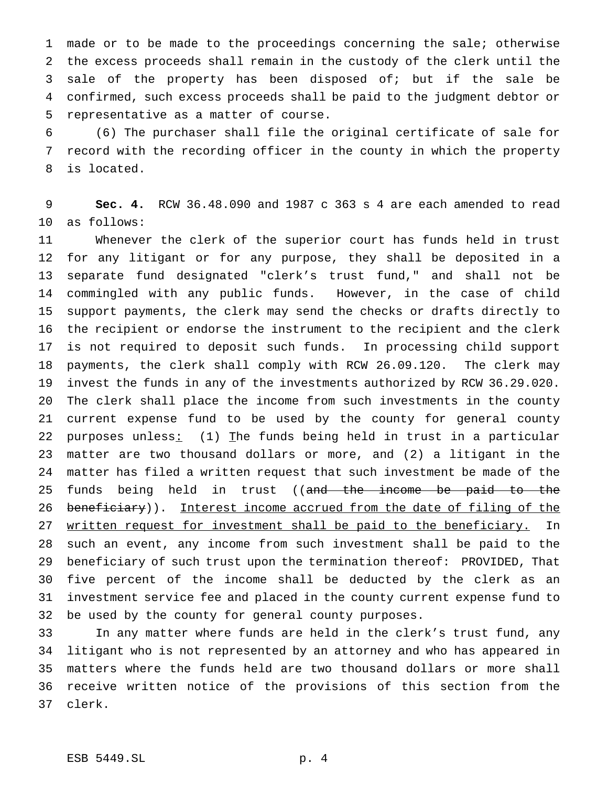made or to be made to the proceedings concerning the sale; otherwise the excess proceeds shall remain in the custody of the clerk until the sale of the property has been disposed of; but if the sale be confirmed, such excess proceeds shall be paid to the judgment debtor or representative as a matter of course.

 (6) The purchaser shall file the original certificate of sale for record with the recording officer in the county in which the property is located.

 **Sec. 4.** RCW 36.48.090 and 1987 c 363 s 4 are each amended to read as follows:

 Whenever the clerk of the superior court has funds held in trust for any litigant or for any purpose, they shall be deposited in a separate fund designated "clerk's trust fund," and shall not be commingled with any public funds. However, in the case of child support payments, the clerk may send the checks or drafts directly to the recipient or endorse the instrument to the recipient and the clerk is not required to deposit such funds. In processing child support payments, the clerk shall comply with RCW 26.09.120. The clerk may invest the funds in any of the investments authorized by RCW 36.29.020. The clerk shall place the income from such investments in the county current expense fund to be used by the county for general county 22 purposes unless: (1) The funds being held in trust in a particular matter are two thousand dollars or more, and (2) a litigant in the matter has filed a written request that such investment be made of the 25 funds being held in trust ((and the income be paid to the 26 beneficiary)). Interest income accrued from the date of filing of the 27 written request for investment shall be paid to the beneficiary. In such an event, any income from such investment shall be paid to the beneficiary of such trust upon the termination thereof: PROVIDED, That five percent of the income shall be deducted by the clerk as an investment service fee and placed in the county current expense fund to be used by the county for general county purposes.

 In any matter where funds are held in the clerk's trust fund, any litigant who is not represented by an attorney and who has appeared in matters where the funds held are two thousand dollars or more shall receive written notice of the provisions of this section from the clerk.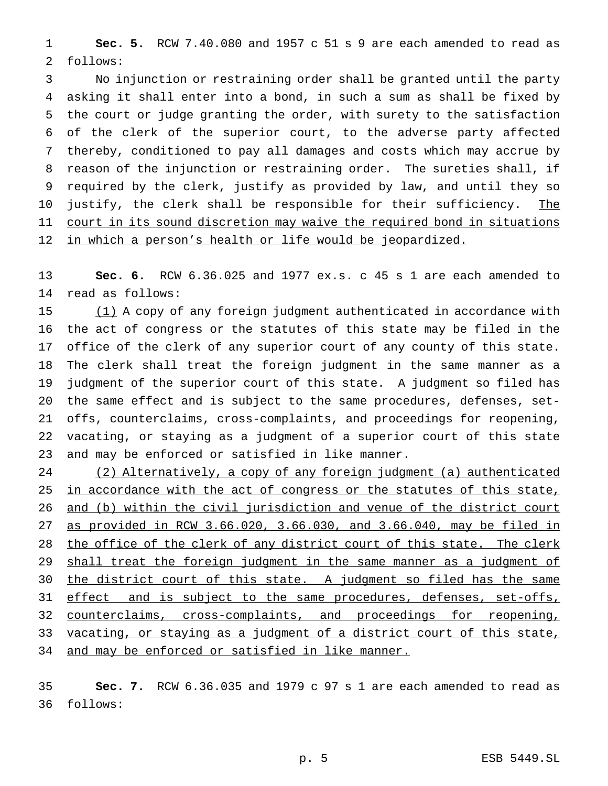**Sec. 5.** RCW 7.40.080 and 1957 c 51 s 9 are each amended to read as follows:

 No injunction or restraining order shall be granted until the party asking it shall enter into a bond, in such a sum as shall be fixed by the court or judge granting the order, with surety to the satisfaction of the clerk of the superior court, to the adverse party affected thereby, conditioned to pay all damages and costs which may accrue by reason of the injunction or restraining order. The sureties shall, if required by the clerk, justify as provided by law, and until they so 10 justify, the clerk shall be responsible for their sufficiency. The 11 court in its sound discretion may waive the required bond in situations 12 in which a person's health or life would be jeopardized.

 **Sec. 6.** RCW 6.36.025 and 1977 ex.s. c 45 s 1 are each amended to read as follows:

 (1) A copy of any foreign judgment authenticated in accordance with the act of congress or the statutes of this state may be filed in the office of the clerk of any superior court of any county of this state. The clerk shall treat the foreign judgment in the same manner as a judgment of the superior court of this state. A judgment so filed has the same effect and is subject to the same procedures, defenses, set- offs, counterclaims, cross-complaints, and proceedings for reopening, vacating, or staying as a judgment of a superior court of this state and may be enforced or satisfied in like manner.

 (2) Alternatively, a copy of any foreign judgment (a) authenticated 25 in accordance with the act of congress or the statutes of this state, and (b) within the civil jurisdiction and venue of the district court as provided in RCW 3.66.020, 3.66.030, and 3.66.040, may be filed in 28 the office of the clerk of any district court of this state. The clerk 29 shall treat the foreign judgment in the same manner as a judgment of 30 the district court of this state. A judgment so filed has the same 31 effect and is subject to the same procedures, defenses, set-offs, counterclaims, cross-complaints, and proceedings for reopening, 33 vacating, or staying as a judgment of a district court of this state, and may be enforced or satisfied in like manner.

 **Sec. 7.** RCW 6.36.035 and 1979 c 97 s 1 are each amended to read as follows: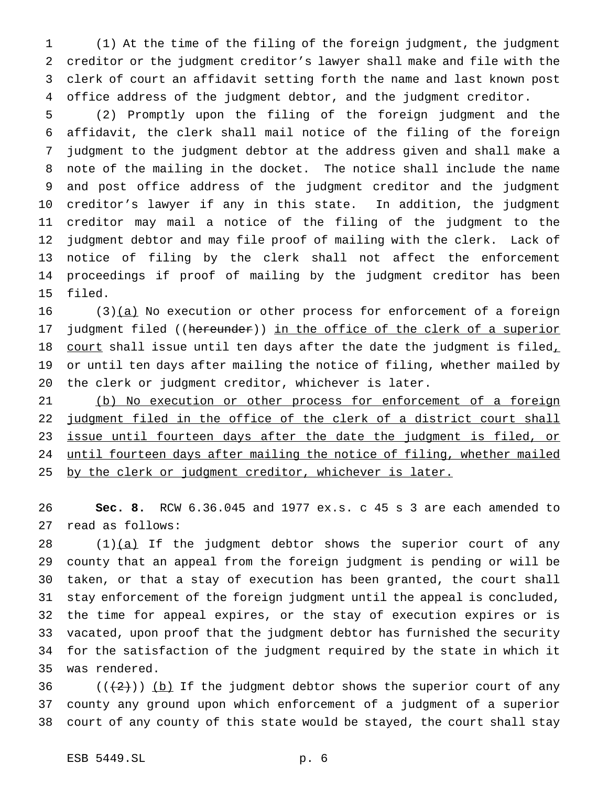(1) At the time of the filing of the foreign judgment, the judgment creditor or the judgment creditor's lawyer shall make and file with the clerk of court an affidavit setting forth the name and last known post office address of the judgment debtor, and the judgment creditor.

 (2) Promptly upon the filing of the foreign judgment and the affidavit, the clerk shall mail notice of the filing of the foreign judgment to the judgment debtor at the address given and shall make a note of the mailing in the docket. The notice shall include the name and post office address of the judgment creditor and the judgment creditor's lawyer if any in this state. In addition, the judgment creditor may mail a notice of the filing of the judgment to the judgment debtor and may file proof of mailing with the clerk. Lack of notice of filing by the clerk shall not affect the enforcement proceedings if proof of mailing by the judgment creditor has been filed.

 (3) $(a)$  No execution or other process for enforcement of a foreign judgment filed ((hereunder)) in the office of the clerk of a superior 18 court shall issue until ten days after the date the judgment is filed, or until ten days after mailing the notice of filing, whether mailed by the clerk or judgment creditor, whichever is later.

 (b) No execution or other process for enforcement of a foreign 22 judgment filed in the office of the clerk of a district court shall 23 issue until fourteen days after the date the judgment is filed, or until fourteen days after mailing the notice of filing, whether mailed 25 by the clerk or judgment creditor, whichever is later.

 **Sec. 8.** RCW 6.36.045 and 1977 ex.s. c 45 s 3 are each amended to read as follows:

 $(1)(a)$  If the judgment debtor shows the superior court of any county that an appeal from the foreign judgment is pending or will be taken, or that a stay of execution has been granted, the court shall stay enforcement of the foreign judgment until the appeal is concluded, the time for appeal expires, or the stay of execution expires or is vacated, upon proof that the judgment debtor has furnished the security for the satisfaction of the judgment required by the state in which it was rendered.

36  $((+2))$  (b) If the judgment debtor shows the superior court of any county any ground upon which enforcement of a judgment of a superior court of any county of this state would be stayed, the court shall stay